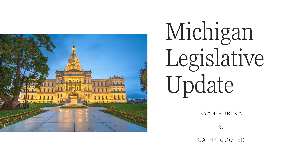

# Michigan Legislative Update

RYAN BURTKA

 $8$ 

CATHY COOPER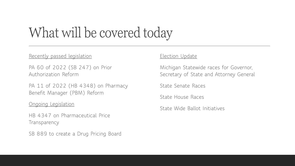# What will be covered today

### Recently passed legislation

PA 60 of 2022 (SB 247) on Prior Authorization Reform

PA 11 of 2022 (HB 4348) on Pharmacy Benefit Manager (PBM) Reform

#### Ongoing Legislation

HB 4347 on Pharmaceutical Price **Transparency** 

SB 889 to create a Drug Pricing Board

### Election Update

Michigan Statewide races for Governor, Secretary of State and Attorney General

State Senate Races

State House Races

State Wide Ballot Initiatives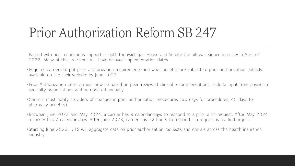# Prior Authorization Reform SB 247

Passed with near unanimous support in both the Michigan House and Senate the bill was signed into law in April of 2022. Many of the provisions will have delayed implementation dates.

- •Requires carriers to put prior authorization requirements and what benefits are subject to prior authorization publicly available on the their website by June 2023
- •Prior Authorization criteria must now be based on peer-reviewed clinical recommendations, include input from physician specialty organizations and be updated annually.
- •Carriers must notify providers of changes in prior authorization procedures (60 days for procedures, 45 days for pharmacy benefits)
- •Between June 2023 and May 2024, a carrier has 9 calendar days to respond to a prior auth request. After May 2024 a carrier has 7 calendar days. After June 2023, carrier has 72 hours to respond if a request is marked urgent.
- •Starting June 2023, DIFS will aggregate data on prior authorization requests and denials across the health insurance industry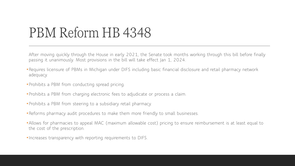### PBM Reform HB 4348

After moving quickly through the House in early 2021, the Senate took months working through this bill before finally passing it unanimously. Most provisions in the bill will take effect Jan 1, 2024.

- •Requires licensure of PBMs in Michigan under DIFS including basic financial disclosure and retail pharmacy network adequacy.
- •Prohibits a PBM from conducting spread pricing.
- •Prohibits a PBM from charging electronic fees to adjudicate or process a claim.
- •Prohibits a PBM from steering to a subsidiary retail pharmacy.
- •Reforms pharmacy audit procedures to make them more friendly to small businesses.
- •Allows for pharmacies to appeal MAC (maximum allowable cost) pricing to ensure reimbursement is at least equal to the cost of the prescription.
- •Increases transparency with reporting requirements to DIFS.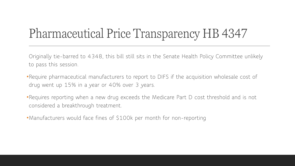### Pharmaceutical Price Transparency HB 4347

Originally tie-barred to 4348, this bill still sits in the Senate Health Policy Committee unlikely to pass this session.

- •Require pharmaceutical manufacturers to report to DIFS if the acquisition wholesale cost of drug went up 15% in a year or 40% over 3 years.
- •Requires reporting when a new drug exceeds the Medicare Part D cost threshold and is not considered a breakthrough treatment.
- •Manufacturers would face fines of \$100k per month for non-reporting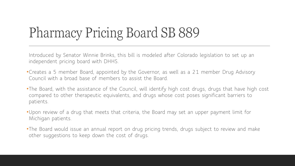# Pharmacy Pricing Board SB 889

Introduced by Senator Winnie Brinks, this bill is modeled after Colorado legislation to set up an independent pricing board with DHHS.

- •Creates a 5 member Board, appointed by the Governor, as well as a 21 member Drug Advisory Council with a broad base of members to assist the Board.
- •The Board, with the assistance of the Council, will identify high cost drugs, drugs that have high cost compared to other therapeutic equivalents, and drugs whose cost poses significant barriers to patients.
- •Upon review of a drug that meets that criteria, the Board may set an upper payment limit for Michigan patients.
- •The Board would issue an annual report on drug pricing trends, drugs subject to review and make other suggestions to keep down the cost of drugs.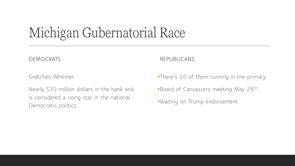# Michigan Gubernatorial Race

DEMOCRATS

Gretchen Whitmer

Nearly \$10 million dollars in the bank and is considered a rising star in the national Democratic politics.

REPUBLICANS

•There's 10 of them running in the primary.

•Board of Canvassers meeting May 26<sup>th</sup>

•Waiting on Trump endorsement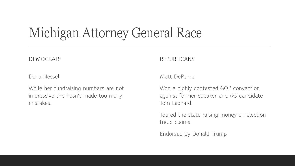### Michigan Attorney General Race

### DEMOCRATS

Dana Nessel

While her fundraising numbers are not impressive she hasn't made too many mistakes.

REPUBLICANS

Matt DePerno

Won a highly contested GOP convention against former speaker and AG candidate Tom Leonard.

Toured the state raising money on election fraud claims.

Endorsed by Donald Trump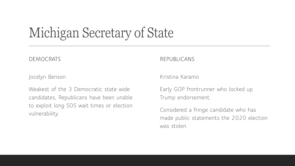# Michigan Secretary of State

### DEMOCRATS

Jocelyn Benson

Weakest of the 3 Democratic state wide candidates, Republicans have been unable to exploit long SOS wait times or election vulnerability.

#### REPUBLICANS

Kristina Karamo

Early GOP frontrunner who locked up Trump endorsement.

Considered a fringe candidate who has made public statements the 2020 election was stolen.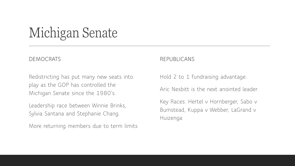### Michigan Senate

#### DEMOCRATS

Redistricting has put many new seats into play as the GOP has controlled the Michigan Senate since the 1980's.

Leadership race between Winnie Brinks, Sylvia Santana and Stephanie Chang.

More returning members due to term limits

#### REPUBLICANS

Hold 2 to 1 fundraising advantage.

Aric Nesbitt is the next anointed leader.

Key Races: Hertel v Hornberger, Sabo v Bumstead, Kuppa v Webber, LaGrand v Huizenga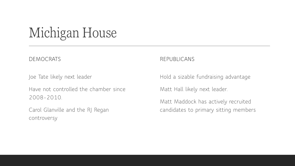# Michigan House

### DEMOCRATS

Joe Tate likely next leader

Have not controlled the chamber since 2008-2010.

Carol Glanville and the RJ Regan controversy

#### REPUBLICANS

Hold a sizable fundraising advantage

Matt Hall likely next leader.

Matt Maddock has actively recruited candidates to primary sitting members